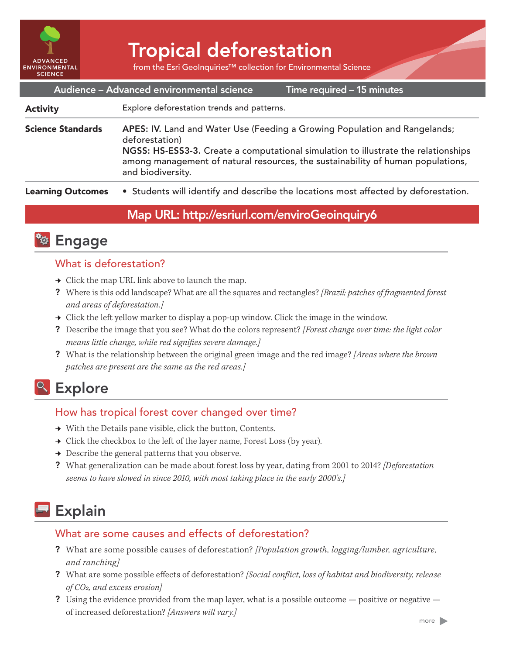

# Tropical deforestation

from the Esri GeoInquiries™ collection for Environmental Science

| Audience - Advanced environmental science<br>Time required - 15 minutes |                                                                                                                                                                                                                                                                                            |
|-------------------------------------------------------------------------|--------------------------------------------------------------------------------------------------------------------------------------------------------------------------------------------------------------------------------------------------------------------------------------------|
| <b>Activity</b>                                                         | Explore deforestation trends and patterns.                                                                                                                                                                                                                                                 |
| <b>Science Standards</b>                                                | APES: IV. Land and Water Use (Feeding a Growing Population and Rangelands;<br>deforestation)<br>NGSS: HS-ESS3-3. Create a computational simulation to illustrate the relationships<br>among management of natural resources, the sustainability of human populations,<br>and biodiversity. |
| <b>Learning Outcomes</b>                                                | • Students will identify and describe the locations most affected by deforestation.                                                                                                                                                                                                        |
|                                                                         |                                                                                                                                                                                                                                                                                            |

### Map URL: http://esriurl.com/enviroGeoinquiry6

### **<sup>to</sup>** Engage

### What is deforestation?

- $\rightarrow$  Click the map URL link above to launch the map.
- ? Where is this odd landscape? What are all the squares and rectangles? *[Brazil; patches of fragmented forest and areas of deforestation.]*
- $\rightarrow$  Click the left yellow marker to display a pop-up window. Click the image in the window.
- ? Describe the image that you see? What do the colors represent? *[Forest change over time: the light color means little change, while red signifies severe damage.]*
- ? What is the relationship between the original green image and the red image? *[Areas where the brown patches are present are the same as the red areas.]*

### Explore

#### How has tropical forest cover changed over time?

- $\rightarrow$  With the Details pane visible, click the button, Contents.
- $\rightarrow$  Click the checkbox to the left of the layer name, Forest Loss (by year).
- $\rightarrow$  Describe the general patterns that you observe.
- ? What generalization can be made about forest loss by year, dating from 2001 to 2014? *[Deforestation seems to have slowed in since 2010, with most taking place in the early 2000's.]*

## Explain

#### What are some causes and effects of deforestation?

- ? What are some possible causes of deforestation? *[Population growth, logging/lumber, agriculture, and ranching]*
- ? What are some possible effects of deforestation? *[Social conflict, loss of habitat and biodiversity, release of CO2, and excess erosion]*
- ? Using the evidence provided from the map layer, what is a possible outcome  $-$  positive or negative  $$ of increased deforestation? *[Answers will vary.]*